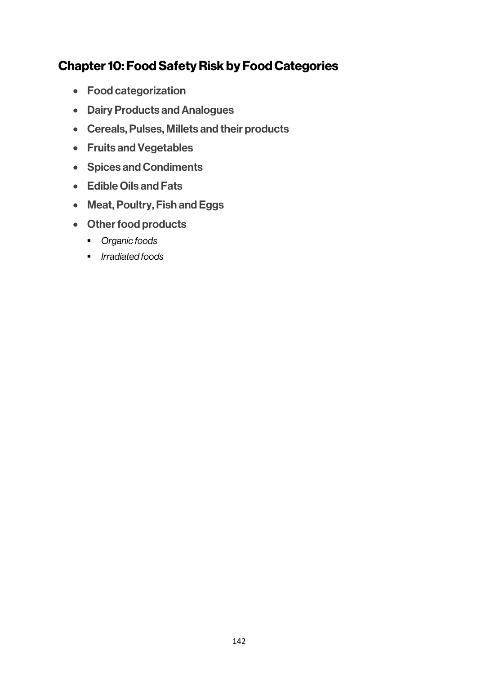# Chapter 10: Food Safety Risk by Food Categories

- Food categorization
- Dairy Products and Analogues
- Cereals, Pulses, Millets and their products
- Fruits and Vegetables
- Spices and Condiments
- Edible Oils and Fats
- Meat, Poultry, Fish and Eggs
- Other food products
	- § *Organic foods*
	- § *Irradiated foods*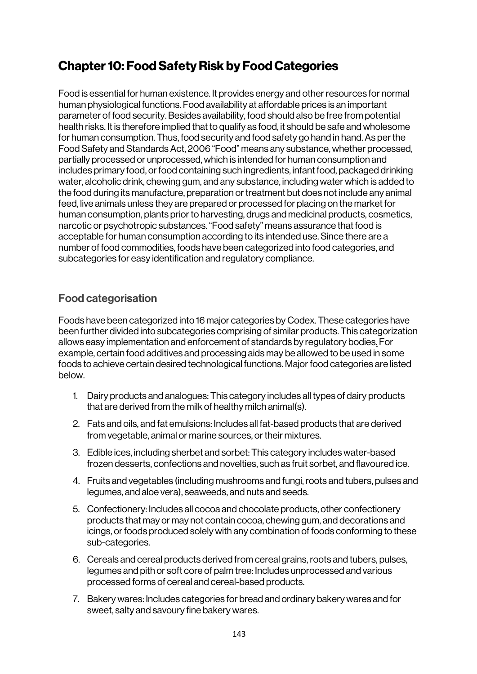# Chapter 10: Food Safety Risk by Food Categories

Food is essential for human existence. It provides energy and other resources for normal human physiological functions. Food availability at affordable prices is an important parameter of food security. Besides availability, food should also be free from potential health risks. It is therefore implied that to qualify as food, it should be safe and wholesome for human consumption. Thus, food security and food safety go hand in hand. As per the Food Safety and Standards Act, 2006 "Food" means any substance, whether processed, partially processed or unprocessed, which is intended for human consumption and includes primary food, or food containing such ingredients, infant food, packaged drinking water, alcoholic drink, chewing gum, and any substance, including water which is added to the food during its manufacture, preparation or treatment but does not include any animal feed, live animals unless they are prepared or processed for placing on the market for human consumption, plants prior to harvesting, drugs and medicinal products, cosmetics, narcotic or psychotropic substances. "Food safety" means assurance that food is acceptable for human consumption according to its intended use. Since there are a number of food commodities, foods have been categorized into food categories, and subcategories for easy identification and regulatory compliance.

# Food categorisation

Foods have been categorized into 16 major categories by Codex. These categories have been further divided into subcategories comprising of similar products. This categorization allows easy implementation and enforcement of standards by regulatory bodies. For example, certain food additives and processing aids may be allowed to be used in some foods to achieve certain desired technological functions. Major food categories are listed below.

- 1. Dairy products and analogues: This category includes all types of dairy products that are derived from the milk of healthy milch animal(s).
- 2. Fats and oils, and fat emulsions: Includes all fat-based products that are derived from vegetable, animal or marine sources, or their mixtures.
- 3. Edible ices, including sherbet and sorbet: This category includes water-based frozen desserts, confections and novelties, such as fruit sorbet, and flavoured ice.
- 4. Fruits and vegetables (including mushrooms and fungi, roots and tubers, pulses and legumes, and aloe vera), seaweeds, and nuts and seeds.
- 5. Confectionery: Includes all cocoa and chocolate products, other confectionery products that may or may not contain cocoa, chewing gum, and decorations and icings, or foods produced solely with any combination of foods conforming to these sub-categories.
- 6. Cereals and cereal products derived from cereal grains, roots and tubers, pulses, legumes and pith or soft core of palmtree: Includes unprocessed and various processed forms of cereal and cereal-based products.
- 7. Bakery wares: Includes categories for bread and ordinary bakery wares and for sweet, salty and savoury fine bakery wares.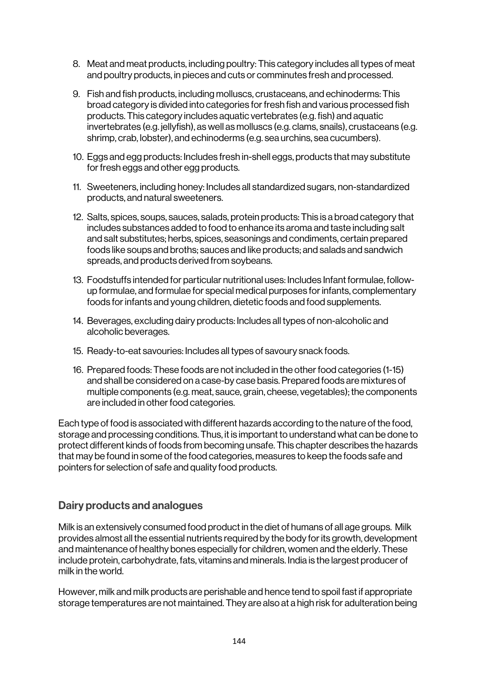- 8. Meat and meat products, including poultry: This category includes all types of meat and poultry products, in pieces and cuts or comminutes fresh and processed.
- 9. Fish and fish products, including molluscs, crustaceans, and echinoderms: This broad category is divided into categories for fresh fish and various processed fish products. This category includes aquatic vertebrates (e.g. fish) and aquatic invertebrates (e.g. jellyfish), as well as molluscs (e.g. clams, snails), crustaceans (e.g. shrimp, crab, lobster), and echinoderms (e.g. sea urchins, sea cucumbers).
- 10. Eggs and egg products: Includes fresh in-shell eggs, products that may substitute for fresh eggs and other egg products.
- 11. Sweeteners, including honey: Includes all standardized sugars, non-standardized products, and natural sweeteners.
- 12. Salts, spices, soups, sauces, salads, protein products: This is a broad category that includes substances added to food to enhance its aroma and taste including salt and salt substitutes; herbs, spices, seasonings and condiments, certain prepared foods like soups and broths; sauces and like products; and salads and sandwich spreads, and products derived from soybeans.
- 13. Foodstuffs intended for particular nutritional uses: Includes Infant formulae, followup formulae, and formulae for special medical purposes for infants, complementary foods for infants and young children, dietetic foods and food supplements.
- 14. Beverages, excluding dairy products: Includes all types of non-alcoholic and alcoholic beverages.
- 15. Ready-to-eat savouries: Includes all types of savoury snack foods.
- 16. Prepared foods: These foods are not included in the other food categories (1-15) and shall be considered on a case-by case basis. Prepared foods are mixtures of multiple components (e.g. meat, sauce, grain, cheese, vegetables); the components are included in other food categories.

Each type of food is associated with different hazards according to the nature of the food, storage and processing conditions. Thus, it is important to understand what can be done to protect different kinds of foods from becoming unsafe. This chapter describes the hazards that may be found in some of the food categories, measures to keep the foods safe and pointers for selection of safe and quality food products.

### Dairy products and analogues

Milk is an extensively consumed food product in the diet of humans of all age groups. Milk provides almost all the essential nutrients required by the body for its growth, development and maintenance of healthy bones especially for children, women and the elderly. These include protein, carbohydrate, fats, vitamins and minerals. India is the largest producer of milk in the world.

However, milk and milk products are perishable and hence tend to spoil fast if appropriate storage temperatures are not maintained. They are also at a high risk for adulteration being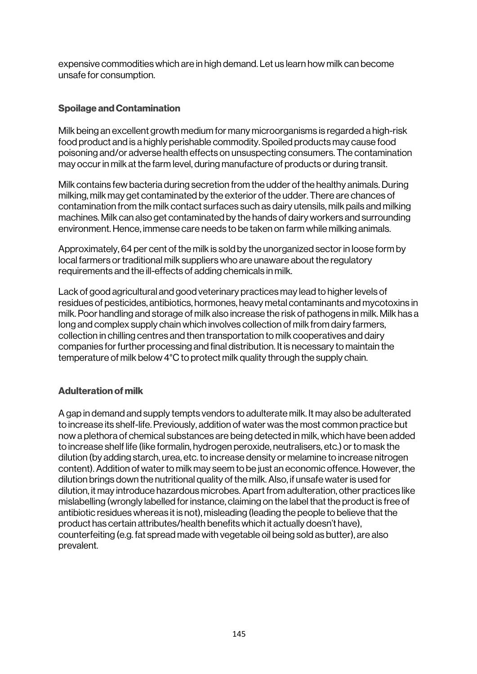expensive commodities which are in high demand. Let us learn how milk can become unsafe for consumption.

#### Spoilage and Contamination

Milk being an excellent growth medium for many microorganisms is regarded a high-risk food product and is a highly perishable commodity. Spoiled products may cause food poisoning and/or adverse health effects on unsuspecting consumers. The contamination may occur in milk at the farm level, during manufacture of products or during transit.

Milk contains few bacteria during secretion from the udder of the healthy animals. During milking, milk may get contaminated by the exterior of the udder. There are chances of contamination from the milk contact surfaces such as dairy utensils, milk pails and milking machines. Milk can also get contaminated by the hands of dairy workers and surrounding environment. Hence, immense care needs to be taken on farm while milking animals.

Approximately, 64 per cent of the milk is sold by the unorganized sector in loose form by local farmers or traditional milk suppliers who are unaware about the regulatory requirements and the ill-effects of adding chemicals in milk.

Lack of good agricultural and good veterinary practices may lead to higher levels of residues of pesticides, antibiotics, hormones, heavy metal contaminants and mycotoxins in milk. Poor handling and storage of milk also increase the risk of pathogens in milk. Milk has a long and complex supply chain which involves collection of milk from dairy farmers, collection in chilling centres and then transportation to milk cooperatives and dairy companies for further processing and final distribution. It is necessary to maintain the temperature of milk below 4°C to protect milk quality through the supply chain.

#### Adulteration of milk

A gap in demand and supply tempts vendors to adulterate milk. It may also be adulterated to increase its shelf-life. Previously, addition of water was the most common practice but now a plethora of chemical substances are being detected inmilk, which have been added to increase shelf life (like formalin, hydrogen peroxide, neutralisers, etc.) or to mask the dilution (by adding starch, urea, etc. to increase density or melamine to increase nitrogen content). Addition of water to milk may seem to be just an economic offence. However, the dilution brings down the nutritional quality of the milk. Also, if unsafe water is used for dilution, it may introduce hazardous microbes. Apart from adulteration, other practices like mislabelling (wrongly labelled for instance, claiming on the label that the product is free of antibiotic residues whereas it is not), misleading (leading the people to believe that the product has certain attributes/health benefits which it actually doesn't have), counterfeiting (e.g. fat spread made with vegetable oil being sold as butter), are also prevalent.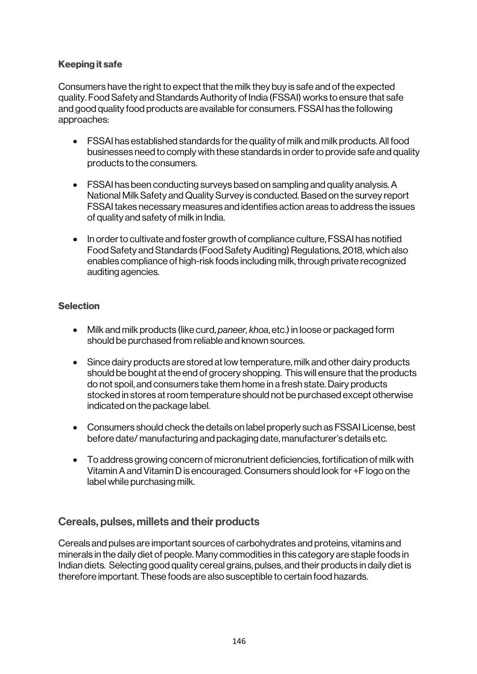#### Keeping it safe

Consumers have the right to expect that the milk they buy is safe and of the expected quality. Food Safety and Standards Authority of India (FSSAI) works to ensure that safe and good quality food products are available for consumers. FSSAI has the following approaches:

- FSSAI has established standards for the quality of milk and milk products. All food businesses need to comply with these standards in order to provide safe and quality products to the consumers.
- FSSAI has been conducting surveys based on sampling and quality analysis. A National Milk Safety and Quality Survey is conducted. Based on the survey report FSSAI takes necessary measures and identifies action areas to address the issues of quality and safety of milk in India.
- In order to cultivate and foster growth of compliance culture, FSSAI has notified Food Safety and Standards (Food Safety Auditing) Regulations, 2018, which also enables compliance of high-risk foods including milk, through private recognized auditing agencies.

#### **Selection**

- Milk and milk products (like curd, *paneer, khoa*, etc.) in loose or packaged form should be purchased from reliable and known sources.
- Since dairy products are stored at low temperature, milk and other dairy products should be bought at the end of grocery shopping. This will ensure that the products do not spoil, and consumers take them home in a fresh state. Dairy products stocked in stores at roomtemperature should not be purchased except otherwise indicated on the package label.
- Consumers should check the details on label properly such as FSSAI License, best before date/ manufacturing and packaging date, manufacturer's details etc.
- To address growing concern of micronutrient deficiencies, fortification of milk with Vitamin A and Vitamin D is encouraged. Consumers should look for +F logo on the label while purchasing milk.

### Cereals, pulses, millets and their products

Cereals and pulses are important sources of carbohydrates and proteins, vitamins and minerals in the daily diet of people. Many commodities in this category are staple foods in Indian diets. Selecting good quality cereal grains, pulses, and their products in daily diet is therefore important. These foods are also susceptible to certain food hazards.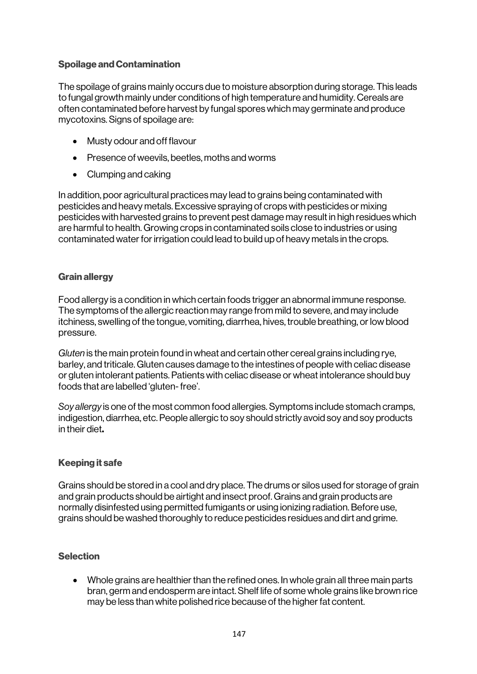#### Spoilage and Contamination

The spoilage of grains mainly occurs due to moisture absorption during storage. This leads to fungal growth mainly under conditions of high temperature and humidity. Cereals are often contaminated before harvest by fungal spores which may germinate and produce mycotoxins. Signs of spoilage are:

- Musty odour and off flavour
- Presence of weevils, beetles, moths and worms
- Clumping and caking

In addition, poor agricultural practices may lead to grains being contaminated with pesticides and heavy metals. Excessive spraying of crops with pesticides or mixing pesticides with harvested grains to prevent pest damage may result in high residues which are harmful to health. Growing crops in contaminated soils close to industries or using contaminated water for irrigation could lead to build up of heavy metals in the crops.

### Grain allergy

Food allergy is a condition in which certain foods trigger an abnormal immune response. The symptoms of the allergic reaction may range from mild to severe, and may include itchiness, swelling of the tongue, vomiting, diarrhea, hives, trouble breathing, or low blood pressure.

*Gluten* is the main protein found in wheat and certain other cereal grains including rye, barley, and triticale. Gluten causes damage to the intestines of people with celiac disease or gluten intolerant patients. Patients with celiac disease or wheat intolerance should buy foods that are labelled 'gluten-free'.

*Soy allergy* is one of the most common food allergies. Symptoms include stomach cramps, indigestion, diarrhea, etc. People allergic to soy should strictly avoid soy and soy products in their diet.

### Keeping it safe

Grains should be stored in a cool and dry place. The drums or silos used for storage of grain and grain products should be airtight and insect proof. Grains and grain products are normally disinfested using permitted fumigants or using ionizing radiation. Before use, grains should be washed thoroughly to reduce pesticides residues and dirt and grime.

#### **Selection**

• Whole grains are healthier than the refined ones. In whole grain all three main parts bran, germ and endosperm are intact. Shelf life of some whole grains like brown rice may be less than white polished rice because of the higher fat content.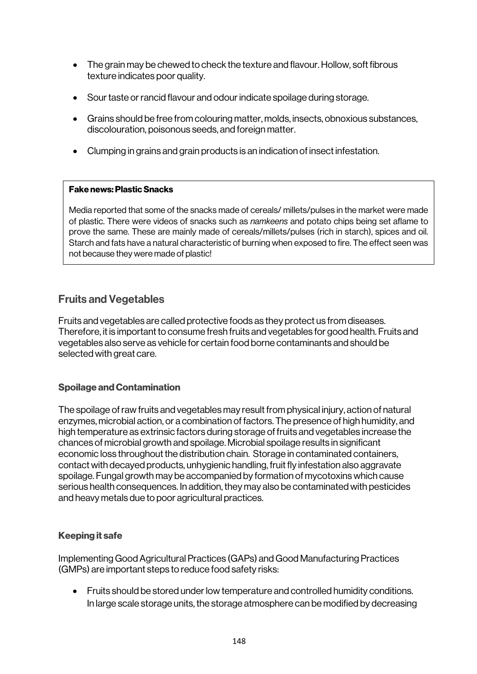- The grain may be chewed to check the texture and flavour. Hollow, soft fibrous texture indicates poor quality.
- Sour taste or rancid flavour and odour indicate spoilage during storage.
- Grains should be free from colouring matter, molds, insects, obnoxious substances, discolouration, poisonous seeds, and foreign matter.
- Clumping in grains and grain products is an indication of insect infestation.

#### Fake news: Plastic Snacks

Media reported that some of the snacks made of cereals/ millets/pulses in the market were made of plastic. There were videos of snacks such as *namkeens* and potato chips being set aflame to prove the same. These are mainly made of cereals/millets/pulses (rich in starch), spices and oil. Starch and fats have a natural characteristic of burning when exposed to fire. The effect seen was not because they were made of plastic!

### Fruits and Vegetables

Fruits and vegetables are called protective foods as they protect us from diseases. Therefore, it is important to consume fresh fruits and vegetables for good health. Fruits and vegetables also serve as vehicle for certain food borne contaminants and should be selected with great care.

#### Spoilage and Contamination

The spoilage of raw fruits and vegetables may result from physical injury, action of natural enzymes, microbial action, or a combination of factors. The presence of high humidity, and high temperature as extrinsic factors during storage of fruits and vegetables increase the chances of microbial growth and spoilage. Microbial spoilage results in significant economic loss throughout the distribution chain. Storage in contaminated containers, contact with decayed products, unhygienic handling, fruit fly infestation also aggravate spoilage. Fungal growth may be accompanied by formation of mycotoxins which cause serious health consequences. In addition, they may also be contaminated with pesticides and heavy metals due to poor agricultural practices.

#### Keeping it safe

Implementing Good Agricultural Practices (GAPs) and Good Manufacturing Practices (GMPs) are important steps to reduce food safety risks:

• Fruits should be stored under low temperature and controlled humidity conditions. In large scale storage units, the storage atmosphere can be modified by decreasing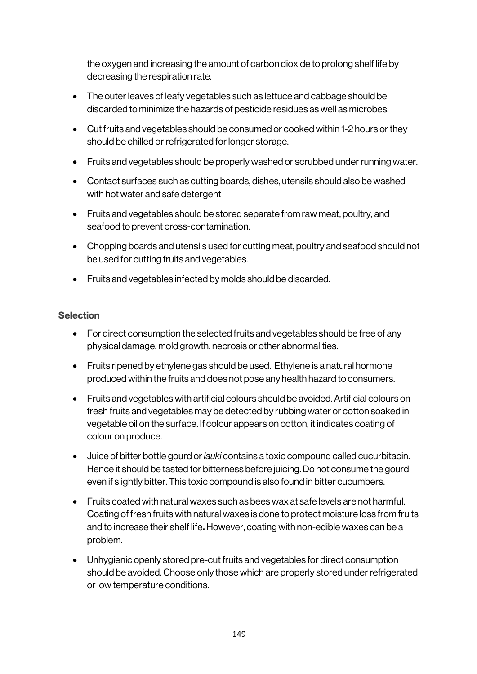the oxygen and increasing the amount of carbon dioxide to prolong shelf life by decreasing the respiration rate.

- The outer leaves of leafy vegetables such as lettuce and cabbage should be discarded to minimize the hazards of pesticide residues as well as microbes.
- Cut fruits and vegetables should be consumed or cooked within 1-2 hours or they should be chilled or refrigerated for longer storage.
- Fruits and vegetables should be properly washed or scrubbed under running water.
- Contact surfaces such as cutting boards, dishes, utensils should also be washed with hot water and safe detergent
- Fruits and vegetables should be stored separate from raw meat, poultry, and seafood to prevent cross-contamination.
- Chopping boards and utensils used for cutting meat, poultry and seafood should not be used for cutting fruits and vegetables.
- Fruits and vegetables infected by molds should be discarded.

### **Selection**

- For direct consumption the selected fruits and vegetables should be free of any physical damage, mold growth, necrosis or other abnormalities.
- Fruits ripened by ethylene gas should be used. Ethylene is a natural hormone produced within the fruits and does not pose any health hazard to consumers.
- Fruits and vegetables with artificial colours should be avoided. Artificial colours on fresh fruits and vegetables may be detected by rubbing water or cotton soaked in vegetable oil on the surface. If colour appears on cotton, it indicates coating of colour on produce.
- Juice of bitter bottle gourd or *lauki* contains a toxic compound called cucurbitacin. Hence it should be tasted for bitterness before juicing. Do not consume the gourd even if slightly bitter. This toxic compound is also found in bitter cucumbers.
- Fruits coated with natural waxes such as bees wax at safe levels are not harmful. Coating of fresh fruits with natural waxes is done to protect moisture loss from fruits and to increase their shelf life. However, coating with non-edible waxes can be a problem.
- Unhygienic openly stored pre-cut fruits and vegetables for direct consumption should be avoided. Choose only those which are properly stored under refrigerated or low temperature conditions.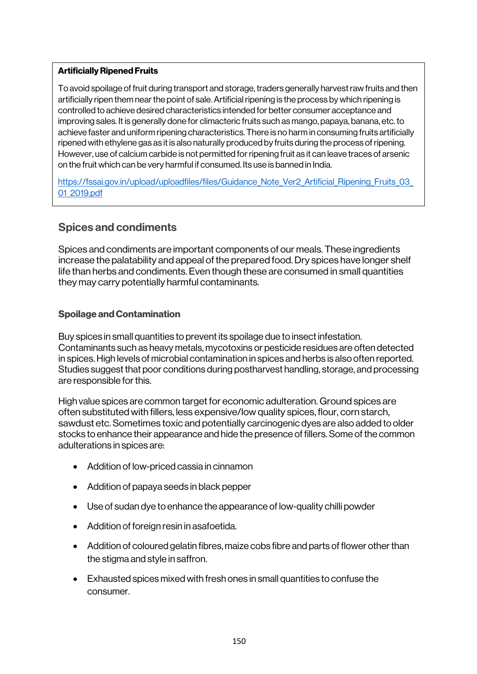#### Artificially Ripened Fruits

To avoid spoilage of fruit during transport and storage, traders generally harvest raw fruits and then artificially ripen them near the point of sale. Artificial ripening is the process by which ripening is controlled to achieve desired characteristics intended for better consumer acceptance and improving sales. It is generally done for climacteric fruits such as mango, papaya, banana, etc. to achieve faster and uniform ripening characteristics. There is no harm in consuming fruits artificially ripened with ethylene gas as it is also naturally produced by fruits during the process of ripening. However, use of calcium carbide is not permitted for ripening fruit as it can leave traces of arsenic on the fruit which can be very harmful if consumed. Its use is banned in India.

https://fssai.gov.in/upload/uploadfiles/files/Guidance\_Note\_Ver2\_Artificial\_Ripening\_Fruits\_03 01\_2019.pdf

### Spices and condiments

Spices and condiments are important components of our meals. These ingredients increase the palatability and appeal of the prepared food. Dry spices have longer shelf life than herbs and condiments. Even though these are consumed in small quantities they may carry potentially harmful contaminants.

#### Spoilage and Contamination

Buy spices in small quantities to prevent its spoilage due to insect infestation. Contaminants such as heavy metals, mycotoxins or pesticide residues are often detected in spices. High levels of microbial contamination in spices and herbs is also often reported. Studies suggest that poor conditions during postharvest handling, storage, and processing are responsible for this.

High value spices are common target for economic adulteration. Ground spices are often substituted with fillers, less expensive/low quality spices, flour, corn starch, sawdust etc. Sometimes toxic and potentially carcinogenic dyes are also added to older stocks to enhance their appearance and hide the presence of fillers. Some of the common adulterations in spices are:

- Addition of low-priced cassia in cinnamon
- Addition of papaya seeds in black pepper
- Use of sudan dye to enhance the appearance of low-quality chilli powder
- Addition of foreign resin in asafoetida.
- Addition of coloured gelatin fibres, maize cobs fibre and parts of flower other than the stigma and style in saffron.
- Exhausted spices mixed with fresh ones in small quantities to confuse the consumer.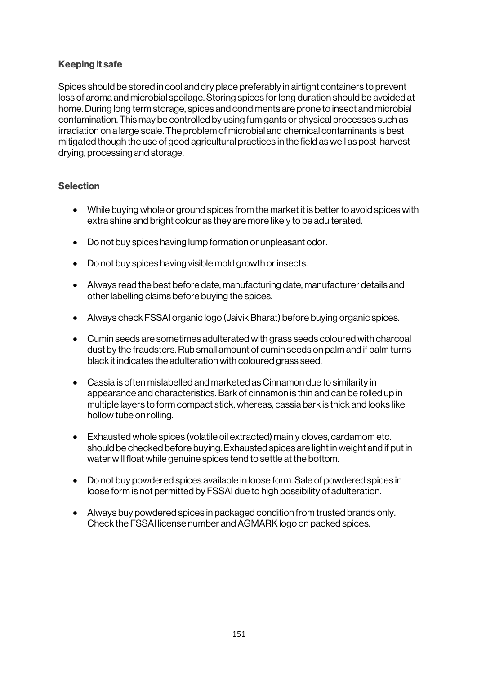#### Keeping it safe

Spices should be stored in cool and dry place preferably in airtight containers to prevent loss of aroma and microbial spoilage. Storing spices for long duration should be avoided at home. During long term storage, spices and condiments are prone to insect and microbial contamination. This may be controlled by using fumigants or physical processes such as irradiation on a large scale. The problem of microbial and chemical contaminants is best mitigated though the use of good agricultural practices in the field as well as post-harvest drying, processing and storage.

#### **Selection**

- While buying whole or ground spices from the market it is better to avoid spices with extra shine and bright colour as they are more likely to be adulterated.
- Do not buy spices having lump formation or unpleasant odor.
- Do not buy spices having visible mold growth or insects.
- Always read the best before date, manufacturing date, manufacturer details and other labelling claims before buying the spices.
- Always check FSSAI organic logo (Jaivik Bharat) before buying organic spices.
- Cumin seeds are sometimes adulterated with grass seeds coloured with charcoal dust by the fraudsters. Rub small amount of cumin seeds on palm and if palm turns black it indicates the adulteration with coloured grass seed.
- Cassia is often mislabelled and marketed as Cinnamon due to similarity in appearance and characteristics. Bark of cinnamon is thin and can be rolled up in multiple layers to form compact stick, whereas, cassia bark is thick and looks like hollow tube on rolling.
- Exhausted whole spices (volatile oil extracted) mainly cloves, cardamom etc. should be checked before buying. Exhausted spices are light in weight and if put in water will float while genuine spices tend to settle at the bottom.
- Do not buy powdered spices available in loose form. Sale of powdered spices in loose form is not permitted by FSSAI due to high possibility of adulteration.
- Always buy powdered spices in packaged condition from trusted brands only. Check the FSSAI license number and AGMARK logo on packed spices.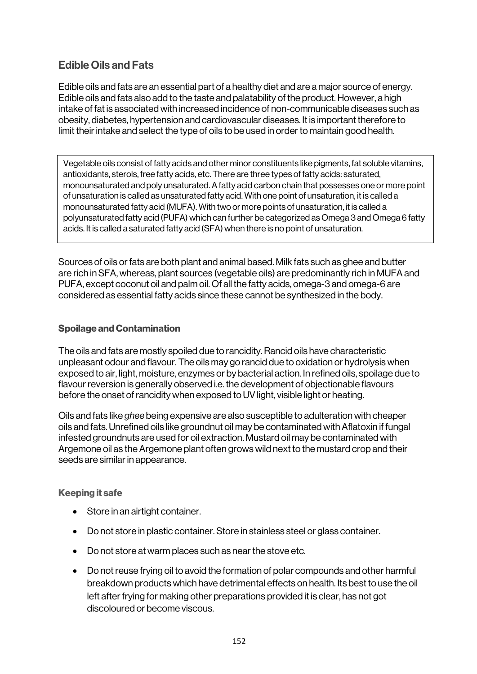# Edible Oils and Fats

Edible oils and fats are an essential part of a healthy diet and are a major source of energy. Edible oils and fats also add to the taste and palatability of the product. However, a high intake of fat is associated with increased incidence of non-communicable diseases such as obesity, diabetes, hypertension and cardiovascular diseases. It is important therefore to limit their intake and select the type of oils to be used in order to maintain good health.

Vegetable oils consist of fatty acids and other minor constituents like pigments, fat soluble vitamins, antioxidants, sterols, free fatty acids, etc. There are three types of fatty acids: saturated, monounsaturated and poly unsaturated. A fatty acid carbon chain that possesses one or more point of unsaturation is called as unsaturated fatty acid. With one point of unsaturation, it is called a monounsaturated fatty acid (MUFA). With two or more points of unsaturation, it is called a polyunsaturated fatty acid (PUFA) which can further be categorized as Omega 3 and Omega 6 fatty acids. It is called a saturated fatty acid (SFA) when there is no point of unsaturation.

Sources of oils or fats are both plant and animal based. Milk fats such as ghee and butter are rich in SFA, whereas, plant sources (vegetable oils) are predominantly rich in MUFA and PUFA, except coconut oil and palm oil. Of all the fatty acids, omega-3 and omega-6 are considered as essential fatty acids since these cannot be synthesized in the body.

#### Spoilage and Contamination

The oils and fats are mostly spoiled due to rancidity. Rancid oils have characteristic unpleasant odour and flavour. The oils may go rancid due to oxidation or hydrolysis when exposed to air, light, moisture, enzymes or by bacterial action. In refined oils, spoilage due to flavour reversion is generally observed i.e. the development of objectionable flavours before the onset of rancidity when exposed to UV light, visible light or heating.

Oils and fats like *ghee* being expensive are also susceptible to adulteration with cheaper oils and fats. Unrefined oils like groundnut oil may be contaminated with Aflatoxin if fungal infested groundnuts are used for oil extraction. Mustard oil may be contaminated with Argemone oil as the Argemone plant often grows wild next to the mustard crop and their seeds are similar in appearance.

#### Keeping it safe

- Store in an airtight container.
- Do not store in plastic container. Store in stainless steel or glass container.
- Do not store at warm places such as near the stove etc.
- Do not reuse frying oil to avoid the formation of polar compounds and other harmful breakdown products which have detrimental effects on health. Its best to use the oil left after frying for making other preparations provided it is clear, has not got discoloured or become viscous.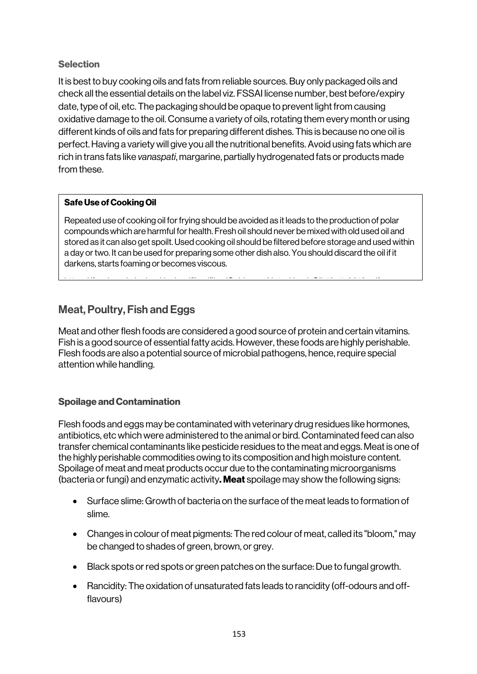### **Selection**

It is best to buy cooking oils and fats from reliable sources. Buy only packaged oils and check all the essential details on the label viz. FSSAI license number, best before/expiry date, type of oil, etc. The packaging should be opaque to prevent light from causing oxidative damage to the oil. Consume a variety of oils, rotating them every month or using different kinds of oils and fats for preparing different dishes. This is because no one oil is perfect. Having a variety will give you all the nutritional benefits. Avoid using fats which are rich in trans fats like *vanaspati*, margarine, partially hydrogenated fats or products made from these.

#### Safe Use of Cooking Oil

Repeated use of cooking oil for frying should be avoided as it leads to the production of polar compounds which are harmful for health. Fresh oil should never be mixed with old used oil and stored as it can also get spoilt. Used cooking oil should be filtered before storage and used within a day or two. It can be used for preparing some other dish also. You should discard the oil if it darkens, starts foaming or becomes viscous.

https://fssai.gov.in/upload/upload/upload/upload/upload/upload/upload/upload/upload/upload/upload/upload/uploa<br>...

# Meat, Poultry, Fish and Eggs

Meat and other flesh foods are considered a good source of protein and certain vitamins. Fish is a good source of essential fatty acids. However, these foods are highly perishable. Flesh foods are also a potential source of microbial pathogens, hence, require special attention while handling.

### Spoilage and Contamination

Flesh foods and eggs may be contaminated with veterinary drug residues like hormones, antibiotics, etc which were administered to the animal or bird. Contaminated feed can also transfer chemical contaminants like pesticide residues to the meat and eggs. Meat is one of the highly perishable commodities owing to its composition and high moisture content. Spoilage of meat and meat products occur due to the contaminating microorganisms (bacteria or fungi) and enzymatic activity. Meat spoilage may show the following signs:

- Surface slime: Growth of bacteria on the surface of the meat leads to formation of slime.
- Changes in colour of meat pigments: The red colour of meat, called its "bloom," may be changed to shades of green, brown, or grey.
- Black spots or red spots or green patches on the surface: Due to fungal growth.
- Rancidity: The oxidation of unsaturated fats leads to rancidity (off-odours and offflavours)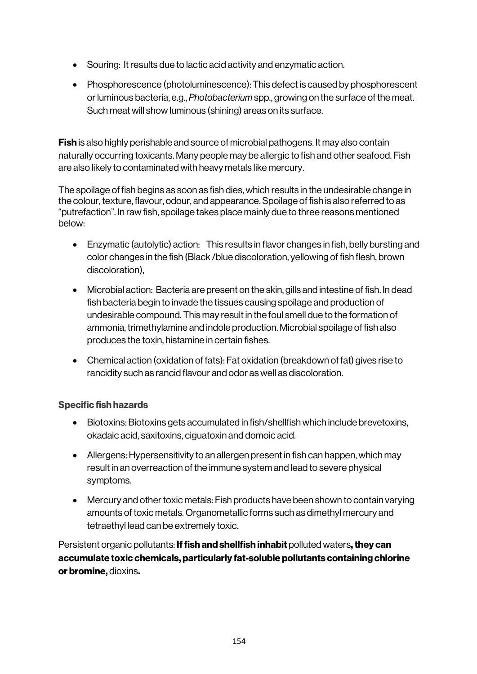- Souring: It results due to lactic acid activity and enzymatic action.
- Phosphorescence (photoluminescence): This defect is caused by phosphorescent or luminous bacteria, e.g., *Photobacterium* spp., growing on the surface of the meat. Such meat will show luminous (shining) areas on its surface.

**Fish** is also highly perishable and source of microbial pathogens. It may also contain naturally occurring toxicants. Many people may be allergic to fish and other seafood. Fish are also likely to contaminated with heavy metals like mercury.

The spoilage of fish begins as soon as fish dies, which results in the undesirable change in the colour, texture, flavour, odour, and appearance. Spoilage of fish is also referred to as "putrefaction". In raw fish, spoilage takes place mainly due to three reasons mentioned below:

- Enzymatic (autolytic) action: This results in flavor changes in fish, belly bursting and color changes in the fish (Black /blue discoloration, yellowing of fish flesh, brown discoloration),
- Microbial action: Bacteria are present on the skin, gills and intestine of fish. In dead fish bacteria begin to invade the tissues causing spoilage and production of undesirable compound. This may result in the foul smell due to the formation of ammonia, trimethylamine and indole production. Microbial spoilage of fish also produces the toxin, histamine in certain fishes.
- Chemical action (oxidation of fats): Fat oxidation (breakdown of fat) gives rise to rancidity such as rancid flavour and odor as well as discoloration.

### Specific fish hazards

- Biotoxins: Biotoxins gets accumulated in fish/shellfish which include brevetoxins, okadaic acid, saxitoxins, ciguatoxin and domoic acid.
- Allergens: Hypersensitivity to an allergen present in fish can happen, which may result in an overreaction of the immune system and lead to severe physical symptoms.
- Mercury and other toxic metals: Fish products have been shown to contain varying amounts of toxic metals. Organometallic forms such as dimethyl mercury and tetraethyl lead can be extremely toxic.

Persistent organic pollutants: If fish and shellfish inhabit polluted waters, they can accumulate toxic chemicals, particularly fat-soluble pollutants containing chlorine or bromine, dioxins.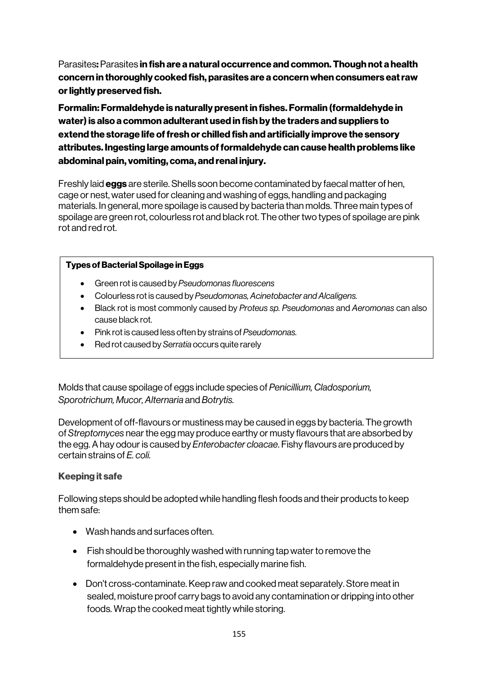Parasites: Parasites in fish are a natural occurrence and common. Though not a health concern in thoroughly cooked fish, parasites are a concern when consumers eat raw or lightly preserved fish.

Formalin: Formaldehyde is naturally present in fishes. Formalin (formaldehyde in water) is also a common adulterant used in fish by the traders and suppliers to extend the storage life of fresh or chilled fish and artificially improve the sensory attributes. Ingesting large amounts of formaldehyde can cause health problems like abdominal pain, vomiting, coma, and renal injury.

Freshly laid **eggs** are sterile. Shells soon become contaminated by faecal matter of hen, cage or nest, water used for cleaning and washing of eggs, handling and packaging materials. In general, more spoilage is caused by bacteria than molds. Three main types of spoilage are green rot, colourless rot and black rot. The other two types of spoilage are pink rot and red rot.

#### Types of Bacterial Spoilage in Eggs

- Green rot is caused by *Pseudomonas fluorescens*
- Colourless rot is caused by *Pseudomonas, Acinetobacter and Alcaligens.*
- Black rot is most commonly caused by *Proteus sp. Pseudomonas* and *Aeromonas* can also cause black rot.
- Pink rot is caused less often by strains of *Pseudomonas.*
- Red rot caused by *Serratia* occurs quite rarely

Molds that cause spoilage of eggs include species of *Penicillium, Cladosporium, Sporotrichum, Mucor, Alternaria* and *Botrytis.*

Development of off-flavours or mustiness may be caused in eggs by bacteria. The growth of *Streptomyces* near the egg may produce earthy or musty flavours that are absorbed by the egg. A hay odour is caused by *Enterobacter cloacae*. Fishy flavours are produced by certain strains of *E. coli.* 

#### Keeping it safe

Following steps should be adopted while handling flesh foods and their products to keep them safe:

- Wash hands and surfaces often.
- Fish should be thoroughly washed with running tap water to remove the formaldehyde present in the fish, especially marine fish.
- Don't cross-contaminate. Keep raw and cooked meat separately. Store meat in sealed, moisture proof carry bags to avoid any contamination or dripping into other foods. Wrap the cooked meat tightly while storing.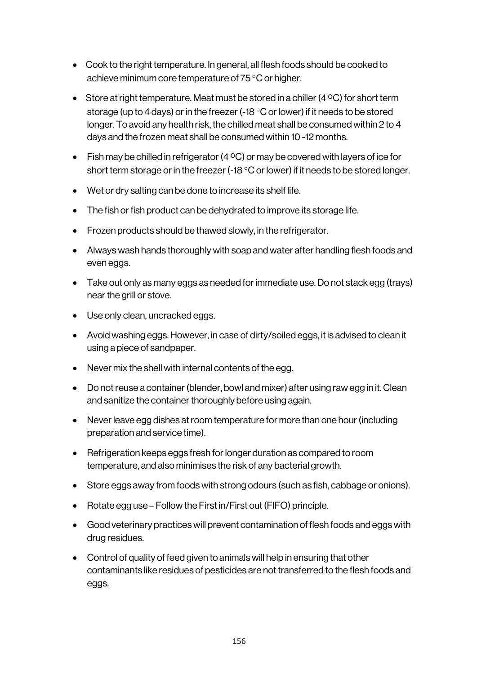- Cook to the right temperature. In general, all flesh foods should be cooked to achieve minimum core temperature of 75 °C or higher.
- Store at right temperature. Meat must be stored in a chiller (4 °C) for short term storage (up to 4 days) or in the freezer (-18 °C or lower) if it needs to be stored longer. To avoid any health risk, the chilled meat shall be consumed within 2 to 4 days and the frozen meat shall be consumed within 10 -12 months.
- Fish may be chilled in refrigerator (4  $\rm ^{OC}$ ) or may be covered with layers of ice for short term storage or in the freezer (-18 °C or lower) if it needs to be stored longer.
- Wet or dry salting can be done to increase its shelf life.
- The fish or fish product can be dehydrated to improve its storage life.
- Frozen products should be thawed slowly, in the refrigerator.
- Always wash hands thoroughly with soap and water after handling flesh foods and even eggs.
- Take out only as many eggs as needed for immediate use. Do not stack egg (trays) near the grill or stove.
- Use only clean, uncracked eggs.
- Avoid washing eggs. However, in case of dirty/soiled eggs, it is advised to clean it using a piece of sandpaper.
- Never mix the shell with internal contents of the egg.
- Do not reuse a container (blender, bowl and mixer) after using raw egg in it. Clean and sanitize the container thoroughly before using again.
- Never leave egg dishes at room temperature for more than one hour (including preparation and service time).
- Refrigeration keeps eggs fresh for longer duration as compared to room temperature, and also minimises the risk of any bacterial growth.
- Store eggs away from foods with strong odours (such as fish, cabbage or onions).
- Rotate egg use Follow the First in/First out (FIFO) principle.
- Good veterinary practices will prevent contamination of flesh foods and eggs with drug residues.
- Control of quality of feed given to animals will help in ensuring that other contaminants like residues of pesticides are not transferred to the flesh foods and eggs.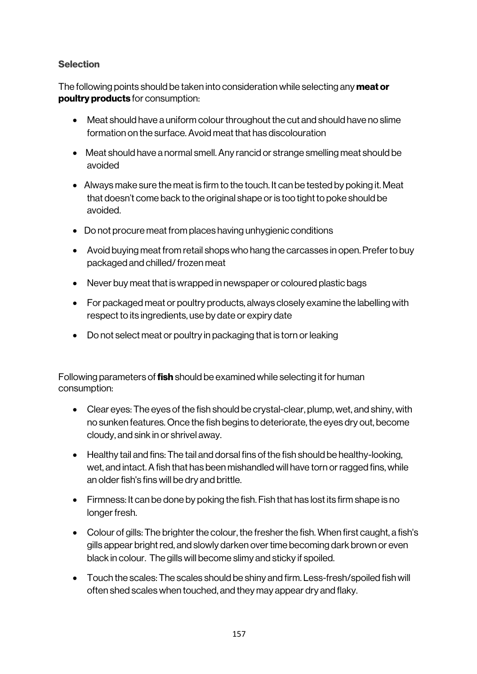### **Selection**

The following points should be taken into consideration while selecting any meat or poultry products for consumption:

- Meat should have a uniform colour throughout the cut and should have no slime formation on the surface.Avoid meat that has discolouration
- Meat should have a normal smell. Any rancid or strange smelling meat should be avoided
- Always make sure the meat is firm to the touch. It can be tested by poking it. Meat that doesn't come back to the original shape or is too tight to poke should be avoided.
- Do not procure meat from places having unhygienic conditions
- Avoid buying meat from retail shops who hang the carcasses in open. Prefer to buy packaged and chilled/ frozen meat
- Never buy meat that is wrapped in newspaper or coloured plastic bags
- For packaged meat or poultry products, always closely examine the labelling with respect to its ingredients, use by date or expiry date
- Do not select meat or poultry in packaging that is torn or leaking

Following parameters of **fish** should be examined while selecting it for human consumption:

- Clear eyes: The eyes of the fish should be crystal-clear, plump, wet, and shiny, with no sunken features. Once the fish begins to deteriorate, the eyes dry out, become cloudy, and sink in or shrivel away.
- Healthy tail and fins: The tail and dorsal fins of the fish should be healthy-looking, wet, and intact. A fish that has been mishandled will have torn or ragged fins, while an older fish's fins will be dry and brittle.
- Firmness: It can be done by poking the fish. Fish that has lost its firm shape is no longer fresh.
- Colour of gills: The brighter the colour, the fresher the fish. When first caught, a fish's gills appear bright red, and slowly darken over time becoming dark brown or even black in colour. The gills will become slimy and sticky if spoiled.
- Touch the scales: The scales should be shiny and firm. Less-fresh/spoiled fish will often shed scales when touched, and they may appear dry and flaky.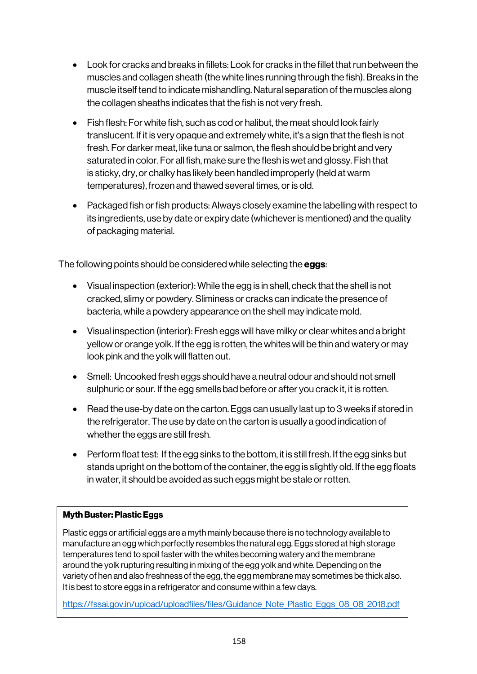- Look for cracks and breaks in fillets: Look for cracks in the fillet that run between the muscles and collagen sheath (the white lines running through the fish). Breaks in the muscle itself tend to indicate mishandling. Natural separation of the muscles along the collagen sheaths indicates that the fish is not very fresh.
- Fish flesh: For white fish, such as cod or halibut, the meat should look fairly translucent. If it is very opaque and extremely white, it's a sign that the flesh is not fresh. For darker meat, like tuna or salmon, the flesh should be bright and very saturated in color. For all fish, make sure the flesh is wet and glossy. Fish that is sticky, dry, or chalky has likely been handled improperly (held at warm temperatures), frozen and thawed several times, or is old.
- Packaged fish or fish products: Always closely examine the labelling with respect to its ingredients, use by date or expiry date (whichever is mentioned) and the quality of packaging material.

The following points should be considered while selecting the **eggs**:

- Visual inspection (exterior): While the egg is in shell, check that the shell is not cracked, slimy or powdery. Sliminess or cracks can indicate the presence of bacteria, while a powdery appearance on the shell may indicate mold.
- Visual inspection (interior): Fresh eggs will have milky or clear whites and a bright yellow or orange yolk. If the egg is rotten, the whites will be thin and watery or may look pink and the yolk will flatten out.
- Smell: Uncooked fresh eggs should have a neutral odour and should not smell sulphuric or sour. If the egg smells bad before or after you crack it, it is rotten.
- Read the use-by date on the carton. Eggs can usually last up to 3 weeks if stored in the refrigerator. The use by date on the carton is usually a good indication of whether the eggs are still fresh.
- Perform float test: If the egg sinks to the bottom, it is still fresh. If the egg sinks but stands upright on the bottom of the container, the egg is slightly old. If the egg floats in water, it should be avoided as such eggs might be stale or rotten.

#### Myth Buster: Plastic Eggs

Plastic eggs or artificial eggs are a myth mainly because there is no technology available to manufacture an egg which perfectly resembles the natural egg. Eggs stored at high storage temperatures tend to spoil faster with the whites becoming watery and the membrane around the yolk rupturing resulting in mixing of the egg yolk and white. Depending on the variety of hen and also freshness of the egg, the egg membrane may sometimes be thick also. It is best to store eggs in a refrigerator and consume within a few days.

https://fssai.gov.in/upload/uploadfiles/files/Guidance\_Note\_Plastic\_Eggs\_08\_08\_2018.pdf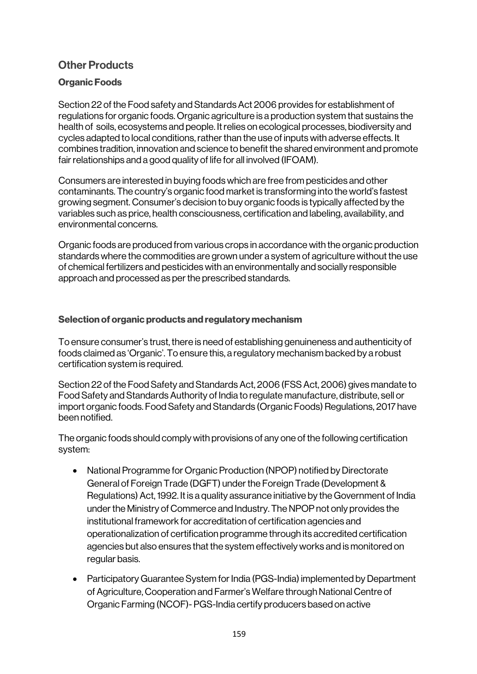# Other Products

### Organic Foods

Section 22 of the Food safety and Standards Act 2006 provides for establishment of regulations for organic foods. Organic agriculture is a production system that sustains the health of soils, ecosystems and people. Itrelies on ecological processes, biodiversity and cycles adapted to local conditions, rather than the use of inputs with adverse effects. It combines tradition, innovation and science to benefit the shared environment and promote fair relationships and a good quality of life for all involved (IFOAM).

Consumers are interested in buying foods which are free from pesticides and other contaminants. The country's organic food market is transforming into the world's fastest growing segment. Consumer's decision to buy organic foods is typically affected by the variables such as price, health consciousness, certification and labeling, availability, and environmental concerns.

Organic foods are produced from various crops in accordance with the organic production standards where the commodities are grown under a system of agriculture without the use of chemical fertilizers and pesticides with an environmentally and socially responsible approach and processed as per the prescribed standards.

#### Selection of organic products and regulatory mechanism

To ensure consumer's trust, there is need of establishing genuineness and authenticity of foods claimed as 'Organic'. To ensure this, a regulatory mechanism backed by a robust certification system is required.

Section 22 of the Food Safety and Standards Act, 2006 (FSS Act, 2006) gives mandate to Food Safety and Standards Authority of India to regulate manufacture, distribute, sell or import organic foods. Food Safety and Standards (Organic Foods) Regulations, 2017 have been notified.

The organic foods should comply with provisions of any one of the following certification system:

- National Programme for Organic Production (NPOP) notified by Directorate General of Foreign Trade (DGFT) under the Foreign Trade (Development & Regulations) Act, 1992. It is a quality assurance initiative by the Government of India under the Ministry of Commerce and Industry. The NPOP not only provides the institutional framework for accreditation of certification agencies and operationalization of certification programme through its accredited certification agencies but also ensures that the system effectively works and is monitored on regular basis.
- Participatory Guarantee System for India (PGS-India) implemented by Department of Agriculture, Cooperation and Farmer's Welfare through National Centre of Organic Farming (NCOF)- PGS-India certify producers based on active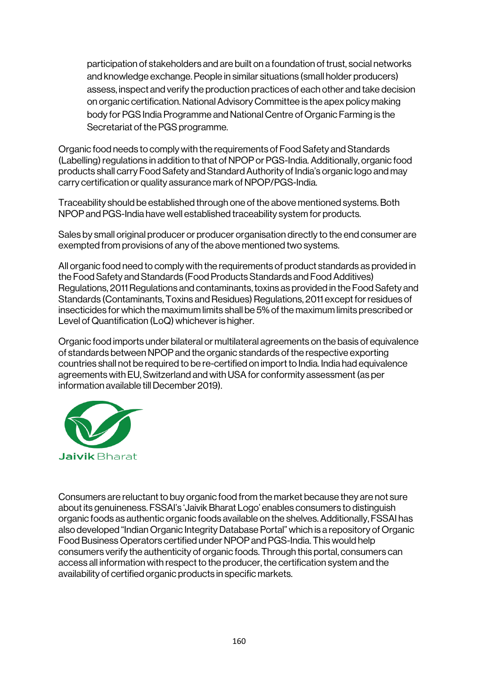participation of stakeholders and are built on a foundation of trust, social networks and knowledge exchange. People in similar situations (small holder producers) assess, inspect and verify the production practices of each other and take decision on organic certification. National Advisory Committee is the apex policy making body for PGS India Programme and National Centre of Organic Farming is the Secretariat of the PGS programme.

Organic food needs to comply with the requirements of Food Safety and Standards (Labelling) regulations in addition to that of NPOP or PGS-India. Additionally, organic food products shall carry Food Safety and Standard Authority of India's organic logo and may carry certification or quality assurance mark of NPOP/PGS-India.

Traceability should be established through one of the above mentioned systems. Both NPOP and PGS-India have well established traceability system for products.

Sales by small original producer or producer organisation directly to the end consumer are exempted from provisions of any of the above mentioned two systems.

All organic food need to comply with the requirements of product standards as provided in the Food Safety and Standards (Food Products Standards and Food Additives) Regulations, 2011 Regulations and contaminants, toxins as provided in the Food Safety and Standards (Contaminants, Toxins and Residues) Regulations, 2011 except for residues of insecticides for which the maximum limits shall be 5% of the maximum limits prescribed or Level of Quantification (LoQ) whichever is higher.

Organic food imports under bilateral or multilateral agreements on the basis of equivalence of standards between NPOP and the organic standards of the respective exporting countries shall not be required to be re-certified on import to India. India had equivalence agreements with EU, Switzerland and with USA for conformity assessment (as per information available till December 2019).



Consumers are reluctant to buy organic food from the market because they are not sure about its genuineness. FSSAI's 'Jaivik Bharat Logo' enables consumers to distinguish organic foods as authentic organic foods available on the shelves. Additionally, FSSAI has also developed "Indian Organic Integrity Database Portal" which is a repository of Organic Food Business Operators certified under NPOP and PGS-India. This would help consumers verify the authenticity of organic foods. Through this portal, consumers can access all information with respect to the producer, the certification system and the availability of certified organic products in specific markets.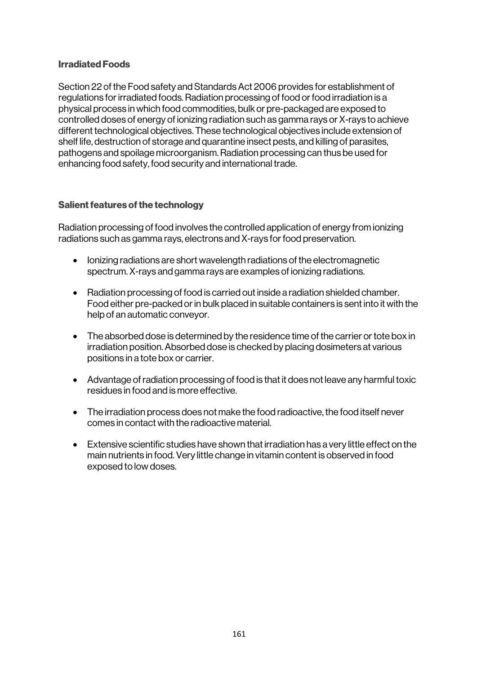#### Irradiated Foods

Section 22 of the Food safety and Standards Act 2006 provides for establishment of regulations for irradiated foods. Radiation processing of food or food irradiation is a physical process in which food commodities, bulk or pre-packaged are exposed to controlled doses of energy of ionizing radiation such as gamma rays or X-rays to achieve different technological objectives. These technological objectives include extension of shelf life, destruction of storage and quarantine insect pests, and killing of parasites, pathogens and spoilage microorganism. Radiation processing can thus be used for enhancing food safety, food security and international trade.

#### Salient features of the technology

Radiation processing of food involves the controlled application of energy from ionizing radiations such as gamma rays, electrons and X-rays for food preservation.

- Ionizing radiations are short wavelength radiations of the electromagnetic spectrum. X-rays and gamma rays are examples of ionizing radiations.
- Radiation processing of food is carried out inside a radiation shielded chamber. Food either pre-packed or in bulk placed in suitable containers is sent into it with the help of an automatic conveyor.
- The absorbed dose is determined by the residence time of the carrier or tote box in irradiation position. Absorbed dose is checked by placing dosimeters at various positions in a tote box or carrier.
- Advantage of radiation processing of food is that it does not leave any harmful toxic residues in food and is more effective.
- The irradiation process does not make the food radioactive, the food itself never comes in contact with the radioactive material.
- Extensive scientific studies have shown that irradiation has a very little effect on the main nutrients in food. Very little change in vitamin content is observed in food exposed to low doses.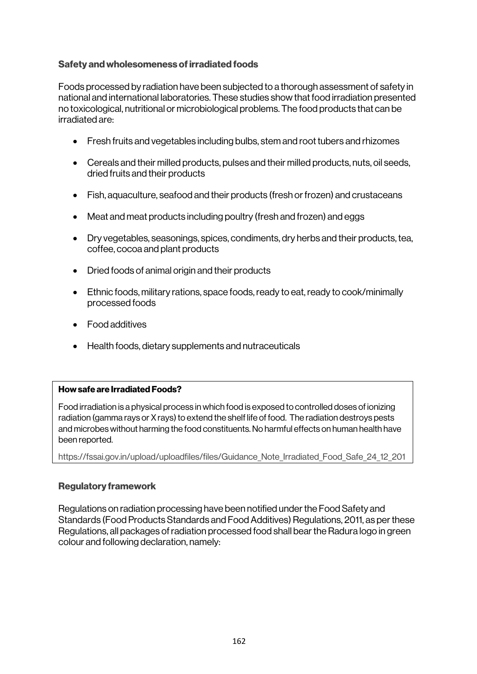#### Safety and wholesomeness of irradiated foods

Foods processed by radiation have been subjected to a thorough assessment of safety in national and international laboratories. These studies show that food irradiation presented no toxicological, nutritional or microbiological problems. The food products that can be irradiated are:

- Fresh fruits and vegetables including bulbs, stem and root tubers and rhizomes
- Cereals and their milled products, pulses and their milled products, nuts, oil seeds, dried fruits and their products
- Fish, aquaculture, seafood and their products (fresh or frozen) and crustaceans
- Meat and meat products including poultry (fresh and frozen) and eggs
- Dry vegetables, seasonings, spices, condiments, dry herbs and their products, tea, coffee, cocoa and plant products
- Dried foods of animal origin and their products
- Ethnic foods, military rations, space foods, ready to eat, ready to cook/minimally processed foods
- Food additives
- Health foods, dietary supplements and nutraceuticals

#### How safe are Irradiated Foods?

Food irradiation is a physical process in which food is exposed to controlled doses of ionizing radiation (gamma rays or X rays) to extend the shelf life of food. The radiation destroys pests and microbes without harming the food constituents. No harmful effects on human health have been reported.

https://fssai.gov.in/upload/uploadfiles/files/Guidance\_Note\_Irradiated\_Food\_Safe\_24\_12\_201

#### Regulatory framework

Regulations on radiation processing have been notified under the Food Safety and Standards (Food Products Standards and Food Additives) Regulations, 2011, as per these Regulations, all packages of radiation processed food shall bear the Radura logo in green colour and following declaration, namely: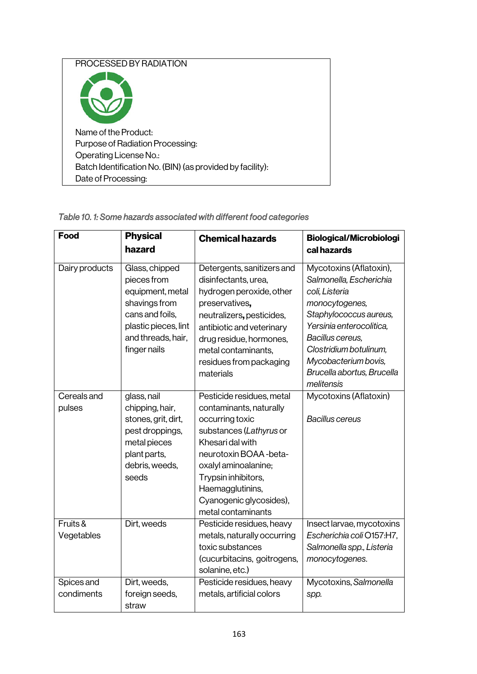| PROCESSED BY RADIATION                                    |
|-----------------------------------------------------------|
|                                                           |
| Name of the Product:                                      |
| Purpose of Radiation Processing:                          |
| Operating License No.:                                    |
| Batch Identification No. (BIN) (as provided by facility): |
| Date of Processing:                                       |
|                                                           |

### *Table 10. 1: Some hazards associated with different food categories*

| Food                     | <b>Physical</b><br>hazard                                                                                                                           | <b>Chemical hazards</b>                                                                                                                                                                                                                                               | <b>Biological/Microbiologi</b><br>cal hazards                                                                                                                                                                                                                  |
|--------------------------|-----------------------------------------------------------------------------------------------------------------------------------------------------|-----------------------------------------------------------------------------------------------------------------------------------------------------------------------------------------------------------------------------------------------------------------------|----------------------------------------------------------------------------------------------------------------------------------------------------------------------------------------------------------------------------------------------------------------|
| Dairy products           | Glass, chipped<br>pieces from<br>equipment, metal<br>shavings from<br>cans and foils,<br>plastic pieces, lint<br>and threads, hair,<br>finger nails | Detergents, sanitizers and<br>disinfectants, urea,<br>hydrogen peroxide, other<br>preservatives,<br>neutralizers, pesticides,<br>antibiotic and veterinary<br>drug residue, hormones,<br>metal contaminants,<br>residues from packaging<br>materials                  | Mycotoxins (Aflatoxin),<br>Salmonella, Escherichia<br>coli, Listeria<br>monocytogenes,<br>Staphylococcus aureus,<br>Yersinia enterocolitica,<br>Bacillus cereus,<br>Clostridium botulinum,<br>Mycobacterium bovis,<br>Brucella abortus, Brucella<br>melitensis |
| Cereals and<br>pulses    | glass, nail<br>chipping, hair,<br>stones, grit, dirt,<br>pest droppings,<br>metal pieces<br>plant parts,<br>debris, weeds,<br>seeds                 | Pesticide residues, metal<br>contaminants, naturally<br>occurring toxic<br>substances (Lathyrus or<br>Khesari dal with<br>neurotoxin BOAA - beta-<br>oxalyl aminoalanine;<br>Trypsin inhibitors,<br>Haemagglutinins,<br>Cyanogenic glycosides),<br>metal contaminants | Mycotoxins (Aflatoxin)<br><b>Bacillus cereus</b>                                                                                                                                                                                                               |
| Fruits &<br>Vegetables   | Dirt, weeds                                                                                                                                         | Pesticide residues, heavy<br>metals, naturally occurring<br>toxic substances<br>(cucurbitacins, goitrogens,<br>solanine, etc.)                                                                                                                                        | Insect larvae, mycotoxins<br>Escherichia coli O157:H7,<br>Salmonella spp., Listeria<br>monocytogenes.                                                                                                                                                          |
| Spices and<br>condiments | Dirt, weeds,<br>foreign seeds,<br>straw                                                                                                             | Pesticide residues, heavy<br>metals, artificial colors                                                                                                                                                                                                                | Mycotoxins, Salmonella<br>spp.                                                                                                                                                                                                                                 |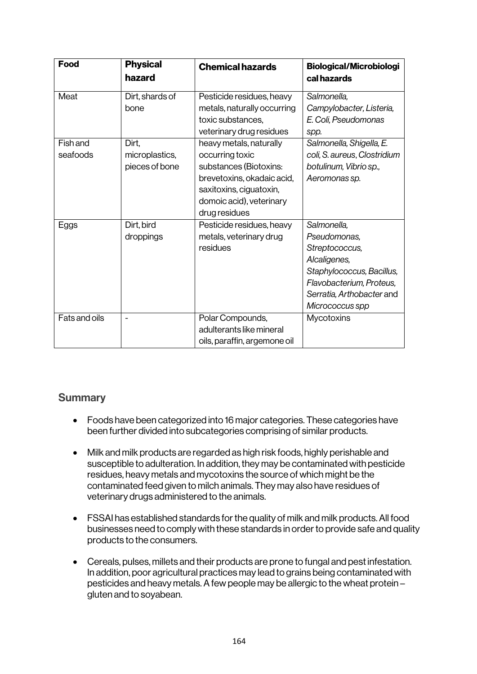| <b>Food</b>                 | <b>Physical</b><br>hazard                 | <b>Chemical hazards</b>                                                                                                                                                    | <b>Biological/Microbiologi</b><br>cal hazards                                                                                                                          |
|-----------------------------|-------------------------------------------|----------------------------------------------------------------------------------------------------------------------------------------------------------------------------|------------------------------------------------------------------------------------------------------------------------------------------------------------------------|
| Meat                        | Dirt, shards of<br>bone                   | Pesticide residues, heavy<br>metals, naturally occurring<br>toxic substances,<br>veterinary drug residues                                                                  | Salmonella,<br>Campylobacter, Listeria,<br>E. Coli, Pseudomonas<br>spp.                                                                                                |
| <b>Fish and</b><br>seafoods | Dirt,<br>microplastics,<br>pieces of bone | heavy metals, naturally<br>occurring toxic<br>substances (Biotoxins:<br>brevetoxins, okadaic acid,<br>saxitoxins, ciguatoxin,<br>domoic acid), veterinary<br>drug residues | Salmonella, Shigella, E.<br>coli, S. aureus, Clostridium<br>botulinum, Vibrio sp.,<br>Aeromonas sp.                                                                    |
| Eggs                        | Dirt, bird<br>droppings                   | Pesticide residues, heavy<br>metals, veterinary drug<br>residues                                                                                                           | Salmonella,<br>Pseudomonas,<br>Streptococcus,<br>Alcaligenes,<br>Staphylococcus, Bacillus,<br>Flavobacterium, Proteus,<br>Serratia, Arthobacter and<br>Micrococcus spp |
| Fats and oils               |                                           | Polar Compounds,<br>adulterants like mineral<br>oils, paraffin, argemone oil                                                                                               | Mycotoxins                                                                                                                                                             |

### **Summary**

- Foods have been categorized into 16 major categories. These categories have been further divided into subcategories comprising of similar products.
- Milk and milk products are regarded as high risk foods, highly perishable and susceptible to adulteration. In addition, they may be contaminated with pesticide residues, heavy metals and mycotoxins the source of which might be the contaminated feed given to milch animals. They may also have residues of veterinary drugs administered to the animals.
- FSSAI has established standards for the quality of milk and milk products. All food businesses need to comply with these standards in order to provide safe and quality products to the consumers.
- Cereals, pulses, millets and their products are prone to fungal and pest infestation. In addition, poor agricultural practices may lead to grains being contaminated with pesticides and heavy metals. A few people may be allergic to the wheat protein – gluten and to soyabean.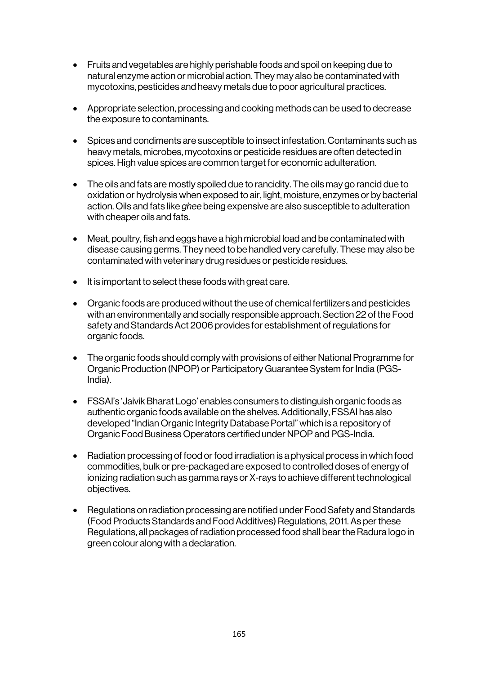- Fruits and vegetables are highly perishable foods and spoil on keeping due to natural enzyme action or microbial action. They may also be contaminated with mycotoxins, pesticides and heavy metals due to poor agricultural practices.
- Appropriate selection, processing and cooking methods can be used to decrease the exposure to contaminants.
- Spices and condiments are susceptible to insect infestation. Contaminants such as heavy metals, microbes, mycotoxins or pesticide residues are often detected in spices.High value spices are common target for economic adulteration.
- The oils and fats are mostly spoiled due to rancidity. The oils may go rancid due to oxidation or hydrolysis when exposed to air, light, moisture, enzymes or by bacterial action. Oils and fats like *ghee* being expensive are also susceptible to adulteration with cheaper oils and fats.
- Meat, poultry, fish and eggs have a high microbial load and be contaminated with disease causing germs. They need to be handled very carefully. These may also be contaminated with veterinary drug residues or pesticide residues.
- It is important to select these foods with great care.
- Organic foods are produced without the use of chemical fertilizers and pesticides with an environmentally and socially responsible approach. Section 22 of the Food safety and Standards Act 2006 provides for establishment of regulations for organic foods.
- The organic foods should comply with provisions of either National Programme for Organic Production (NPOP) or Participatory Guarantee System for India (PGS-India).
- FSSAI's 'Jaivik Bharat Logo' enables consumers to distinguish organic foods as authentic organic foods available on the shelves. Additionally, FSSAI has also developed "Indian Organic Integrity Database Portal" which is a repository of Organic Food Business Operators certified under NPOP and PGS-India.
- Radiation processing of food or food irradiation is a physical process in which food commodities, bulk or pre-packaged are exposed to controlled doses of energy of ionizing radiation such as gamma rays or X-rays to achieve different technological objectives.
- Regulations on radiation processing are notified under Food Safety and Standards (Food Products Standards and Food Additives) Regulations, 2011. As per these Regulations, all packages of radiation processed food shall bear the Radura logo in green colour along with a declaration.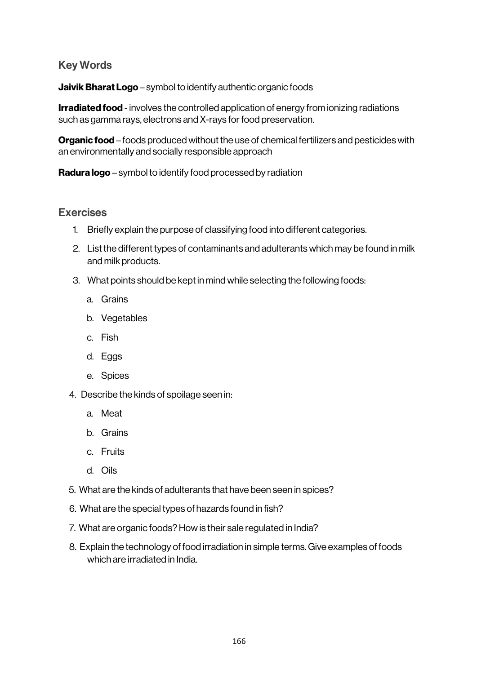## Key Words

Jaivik Bharat Logo – symbol to identify authentic organic foods

**Irradiated food** - involves the controlled application of energy from ionizing radiations such as gamma rays, electrons and X-rays for food preservation.

**Organic food –** foods produced without the use of chemical fertilizers and pesticides with an environmentally and socially responsible approach

Radura logo – symbol to identify food processed by radiation

### Exercises

- 1. Briefly explain the purpose of classifying food into different categories.
- 2. List the different types of contaminants and adulterants which may be found in milk and milk products.
- 3. What points should be kept in mind while selecting the following foods:
	- a. Grains
	- b. Vegetables
	- c. Fish
	- d. Eggs
	- e. Spices
- 4. Describe the kinds of spoilage seen in:
	- a. Meat
	- b. Grains
	- c. Fruits
	- d. Oils
- 5. What are the kinds of adulterants that have been seen in spices?
- 6. What are the special types of hazards found in fish?
- 7. What are organic foods? How is their sale regulated in India?
- 8. Explain the technology of food irradiation in simple terms. Give examples of foods which are irradiated in India.